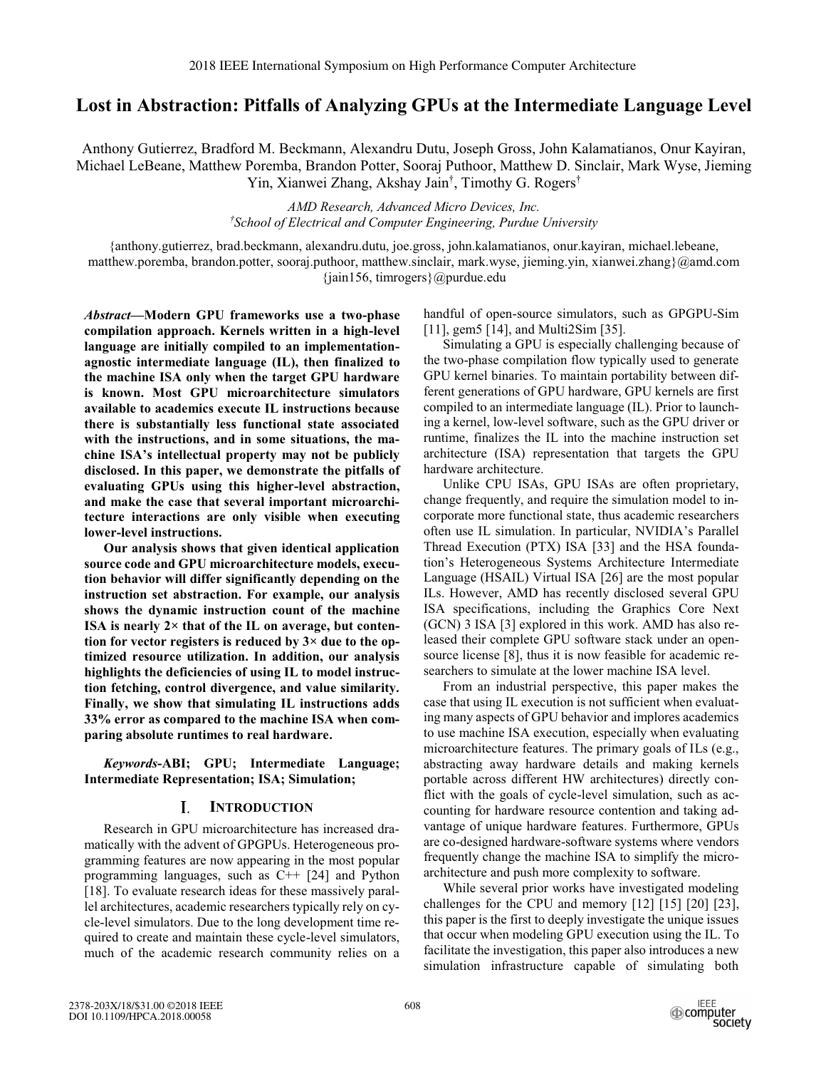# **Lost in Abstraction: Pitfalls of Analyzing GPUs at the Intermediate Language Level**

Anthony Gutierrez, Bradford M. Beckmann, Alexandru Dutu, Joseph Gross, John Kalamatianos, Onur Kayiran, Michael LeBeane, Matthew Poremba, Brandon Potter, Sooraj Puthoor, Matthew D. Sinclair, Mark Wyse, Jieming Yin, Xianwei Zhang, Akshay Jain† , Timothy G. Rogers†

> *AMD Research, Advanced Micro Devices, Inc. † School of Electrical and Computer Engineering, Purdue University*

{anthony.gutierrez, brad.beckmann, alexandru.dutu, joe.gross, john.kalamatianos, onur.kayiran, michael.lebeane, matthew.poremba, brandon.potter, sooraj.puthoor, matthew.sinclair, mark.wyse, jieming.yin, xianwei.zhang}@amd.com {jain156, timrogers}@purdue.edu

*Abstract***—Modern GPU frameworks use a two-phase compilation approach. Kernels written in a high-level language are initially compiled to an implementationagnostic intermediate language (IL), then finalized to the machine ISA only when the target GPU hardware is known. Most GPU microarchitecture simulators available to academics execute IL instructions because there is substantially less functional state associated with the instructions, and in some situations, the machine ISA's intellectual property may not be publicly disclosed. In this paper, we demonstrate the pitfalls of evaluating GPUs using this higher-level abstraction, and make the case that several important microarchitecture interactions are only visible when executing lower-level instructions.** 

**Our analysis shows that given identical application source code and GPU microarchitecture models, execution behavior will differ significantly depending on the instruction set abstraction. For example, our analysis shows the dynamic instruction count of the machine ISA is nearly 2× that of the IL on average, but contention for vector registers is reduced by 3× due to the optimized resource utilization. In addition, our analysis highlights the deficiencies of using IL to model instruction fetching, control divergence, and value similarity. Finally, we show that simulating IL instructions adds 33% error as compared to the machine ISA when comparing absolute runtimes to real hardware.** 

*Keywords***-ABI; GPU; Intermediate Language; Intermediate Representation; ISA; Simulation;** 

#### **INTRODUCTION** L

Research in GPU microarchitecture has increased dramatically with the advent of GPGPUs. Heterogeneous programming features are now appearing in the most popular programming languages, such as C++ [24] and Python [18]. To evaluate research ideas for these massively parallel architectures, academic researchers typically rely on cycle-level simulators. Due to the long development time required to create and maintain these cycle-level simulators, much of the academic research community relies on a handful of open-source simulators, such as GPGPU-Sim [11], gem5 [14], and Multi2Sim [35].

Simulating a GPU is especially challenging because of the two-phase compilation flow typically used to generate GPU kernel binaries. To maintain portability between different generations of GPU hardware, GPU kernels are first compiled to an intermediate language (IL). Prior to launching a kernel, low-level software, such as the GPU driver or runtime, finalizes the IL into the machine instruction set architecture (ISA) representation that targets the GPU hardware architecture.

Unlike CPU ISAs, GPU ISAs are often proprietary, change frequently, and require the simulation model to incorporate more functional state, thus academic researchers often use IL simulation. In particular, NVIDIA's Parallel Thread Execution (PTX) ISA [33] and the HSA foundation's Heterogeneous Systems Architecture Intermediate Language (HSAIL) Virtual ISA [26] are the most popular ILs. However, AMD has recently disclosed several GPU ISA specifications, including the Graphics Core Next (GCN) 3 ISA [3] explored in this work. AMD has also released their complete GPU software stack under an opensource license [8], thus it is now feasible for academic researchers to simulate at the lower machine ISA level.

From an industrial perspective, this paper makes the case that using IL execution is not sufficient when evaluating many aspects of GPU behavior and implores academics to use machine ISA execution, especially when evaluating microarchitecture features. The primary goals of ILs (e.g., abstracting away hardware details and making kernels portable across different HW architectures) directly conflict with the goals of cycle-level simulation, such as accounting for hardware resource contention and taking advantage of unique hardware features. Furthermore, GPUs are co-designed hardware-software systems where vendors frequently change the machine ISA to simplify the microarchitecture and push more complexity to software.

While several prior works have investigated modeling challenges for the CPU and memory [12] [15] [20] [23], this paper is the first to deeply investigate the unique issues that occur when modeling GPU execution using the IL. To facilitate the investigation, this paper also introduces a new simulation infrastructure capable of simulating both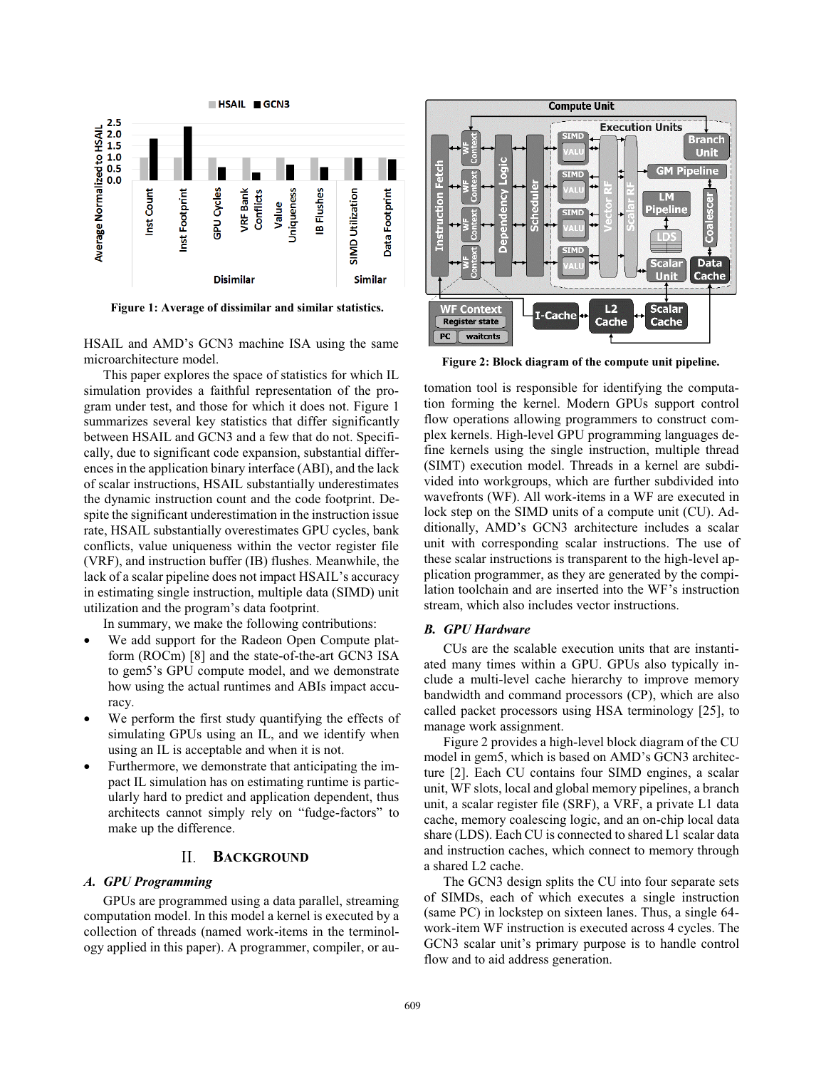

**Figure 1: Average of dissimilar and similar statistics.**

HSAIL and AMD's GCN3 machine ISA using the same microarchitecture model.

This paper explores the space of statistics for which IL simulation provides a faithful representation of the program under test, and those for which it does not. Figure 1 summarizes several key statistics that differ significantly between HSAIL and GCN3 and a few that do not. Specifically, due to significant code expansion, substantial differences in the application binary interface (ABI), and the lack of scalar instructions, HSAIL substantially underestimates the dynamic instruction count and the code footprint. Despite the significant underestimation in the instruction issue rate, HSAIL substantially overestimates GPU cycles, bank conflicts, value uniqueness within the vector register file (VRF), and instruction buffer (IB) flushes. Meanwhile, the lack of a scalar pipeline does not impact HSAIL's accuracy in estimating single instruction, multiple data (SIMD) unit utilization and the program's data footprint.

In summary, we make the following contributions:

- - We add support for the Radeon Open Compute platform (ROCm) [8] and the state-of-the-art GCN3 ISA to gem5's GPU compute model, and we demonstrate how using the actual runtimes and ABIs impact accuracy.
- $\bullet$  We perform the first study quantifying the effects of simulating GPUs using an IL, and we identify when using an IL is acceptable and when it is not.
- - Furthermore, we demonstrate that anticipating the impact IL simulation has on estimating runtime is particularly hard to predict and application dependent, thus architects cannot simply rely on "fudge-factors" to make up the difference.

#### **BACKGROUND** II.

# *A. GPU Programming*

GPUs are programmed using a data parallel, streaming computation model. In this model a kernel is executed by a collection of threads (named work-items in the terminology applied in this paper). A programmer, compiler, or au-



**Figure 2: Block diagram of the compute unit pipeline.**

tomation tool is responsible for identifying the computation forming the kernel. Modern GPUs support control flow operations allowing programmers to construct complex kernels. High-level GPU programming languages define kernels using the single instruction, multiple thread (SIMT) execution model. Threads in a kernel are subdivided into workgroups, which are further subdivided into wavefronts (WF). All work-items in a WF are executed in lock step on the SIMD units of a compute unit (CU). Additionally, AMD's GCN3 architecture includes a scalar unit with corresponding scalar instructions. The use of these scalar instructions is transparent to the high-level application programmer, as they are generated by the compilation toolchain and are inserted into the WF's instruction stream, which also includes vector instructions.

### *B. GPU Hardware*

CUs are the scalable execution units that are instantiated many times within a GPU. GPUs also typically include a multi-level cache hierarchy to improve memory bandwidth and command processors (CP), which are also called packet processors using HSA terminology [25], to manage work assignment.

Figure 2 provides a high-level block diagram of the CU model in gem5, which is based on AMD's GCN3 architecture [2]. Each CU contains four SIMD engines, a scalar unit, WF slots, local and global memory pipelines, a branch unit, a scalar register file (SRF), a VRF, a private L1 data cache, memory coalescing logic, and an on-chip local data share (LDS). Each CU is connected to shared L1 scalar data and instruction caches, which connect to memory through a shared L2 cache.

The GCN3 design splits the CU into four separate sets of SIMDs, each of which executes a single instruction (same PC) in lockstep on sixteen lanes. Thus, a single 64 work-item WF instruction is executed across 4 cycles. The GCN3 scalar unit's primary purpose is to handle control flow and to aid address generation.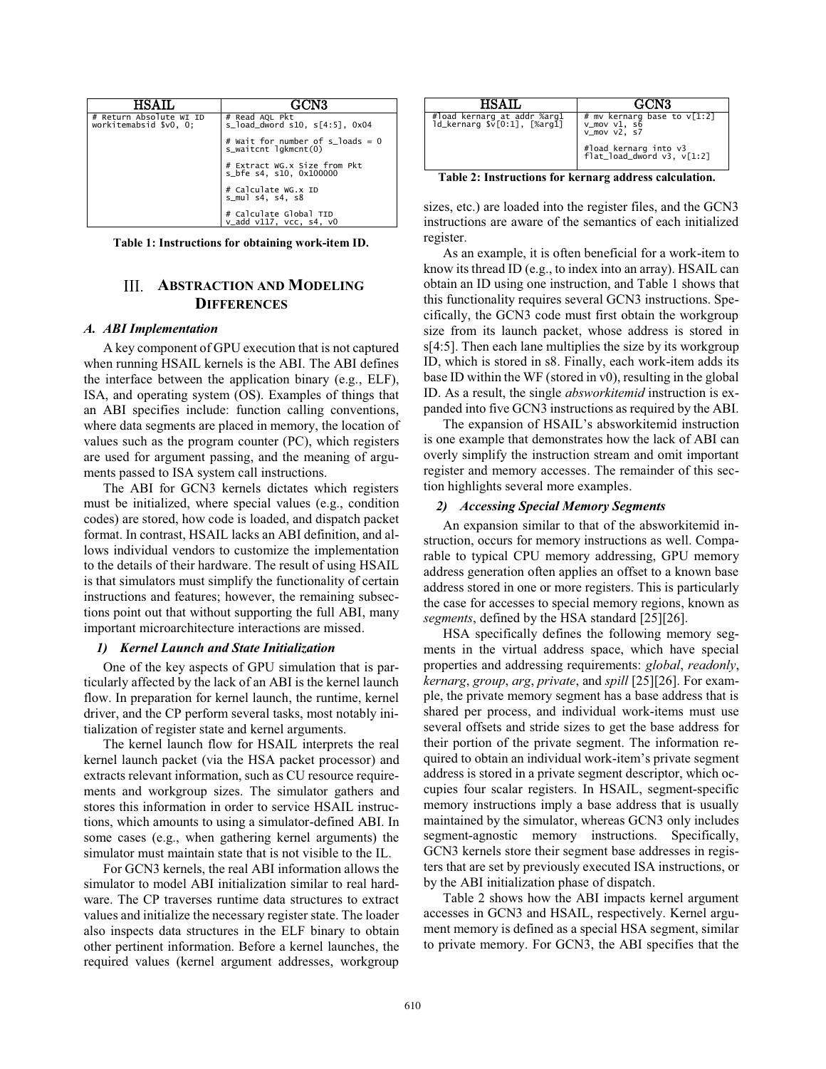| # Return Absolute WI ID<br>workitemabsid \$v0, 0; | # Read AQL Pkt<br>$s$ load dword $s10, s[4:5]$ , $0x04$         |
|---------------------------------------------------|-----------------------------------------------------------------|
|                                                   | # Wait for number of s loads = 0<br>$s_w$ vaitcht lgkmcnt $(0)$ |
|                                                   | # Extract WG.x Size from Pkt<br>s_bfe s4, s10, 0x100000         |
|                                                   | # Calculate WG.X ID<br>s_muls4, s4, s8                          |
|                                                   | # Calculate Global TID<br>$v\_add$ $v117$ , $vcc$ , $s4$ , $v0$ |

**Table 1: Instructions for obtaining work-item ID.**

# **III. ABSTRACTION AND MODELING DIFFERENCES**

#### *A. ABI Implementation*

A key component of GPU execution that is not captured when running HSAIL kernels is the ABI. The ABI defines the interface between the application binary (e.g., ELF), ISA, and operating system (OS). Examples of things that an ABI specifies include: function calling conventions, where data segments are placed in memory, the location of values such as the program counter (PC), which registers are used for argument passing, and the meaning of arguments passed to ISA system call instructions.

The ABI for GCN3 kernels dictates which registers must be initialized, where special values (e.g., condition codes) are stored, how code is loaded, and dispatch packet format. In contrast, HSAIL lacks an ABI definition, and allows individual vendors to customize the implementation to the details of their hardware. The result of using HSAIL is that simulators must simplify the functionality of certain instructions and features; however, the remaining subsections point out that without supporting the full ABI, many important microarchitecture interactions are missed.

#### *1) Kernel Launch and State Initialization*

One of the key aspects of GPU simulation that is particularly affected by the lack of an ABI is the kernel launch flow. In preparation for kernel launch, the runtime, kernel driver, and the CP perform several tasks, most notably initialization of register state and kernel arguments.

The kernel launch flow for HSAIL interprets the real kernel launch packet (via the HSA packet processor) and extracts relevant information, such as CU resource requirements and workgroup sizes. The simulator gathers and stores this information in order to service HSAIL instructions, which amounts to using a simulator-defined ABI. In some cases (e.g., when gathering kernel arguments) the simulator must maintain state that is not visible to the IL.

For GCN3 kernels, the real ABI information allows the simulator to model ABI initialization similar to real hardware. The CP traverses runtime data structures to extract values and initialize the necessary register state. The loader also inspects data structures in the ELF binary to obtain other pertinent information. Before a kernel launches, the required values (kernel argument addresses, workgroup

| #load kernarg at addr %arg1<br>ld_kernarg \$v[0:1], [%arg1] | # mv kernarg base to $\sqrt{1:2}$<br>$v_mov v1, s6$<br>$v_mov v2, s7$<br>#load kernarg into v3<br>flat_load_dword v3, v[1:2] |
|-------------------------------------------------------------|------------------------------------------------------------------------------------------------------------------------------|

**Table 2: Instructions for kernarg address calculation.**

sizes, etc.) are loaded into the register files, and the GCN3 instructions are aware of the semantics of each initialized register.

As an example, it is often beneficial for a work-item to know its thread ID (e.g., to index into an array). HSAIL can obtain an ID using one instruction, and Table 1 shows that this functionality requires several GCN3 instructions. Specifically, the GCN3 code must first obtain the workgroup size from its launch packet, whose address is stored in s[4:5]. Then each lane multiplies the size by its workgroup ID, which is stored in s8. Finally, each work-item adds its base ID within the WF (stored in v0), resulting in the global ID. As a result, the single *absworkitemid* instruction is expanded into five GCN3 instructions as required by the ABI.

The expansion of HSAIL's absworkitemid instruction is one example that demonstrates how the lack of ABI can overly simplify the instruction stream and omit important register and memory accesses. The remainder of this section highlights several more examples.

### *2) Accessing Special Memory Segments*

An expansion similar to that of the absworkitemid instruction, occurs for memory instructions as well. Comparable to typical CPU memory addressing, GPU memory address generation often applies an offset to a known base address stored in one or more registers. This is particularly the case for accesses to special memory regions, known as *segments*, defined by the HSA standard [25][26].

HSA specifically defines the following memory segments in the virtual address space, which have special properties and addressing requirements: *global*, *readonly*, *kernarg*, *group*, *arg*, *private*, and *spill* [25][26]. For example, the private memory segment has a base address that is shared per process, and individual work-items must use several offsets and stride sizes to get the base address for their portion of the private segment. The information required to obtain an individual work-item's private segment address is stored in a private segment descriptor, which occupies four scalar registers. In HSAIL, segment-specific memory instructions imply a base address that is usually maintained by the simulator, whereas GCN3 only includes segment-agnostic memory instructions. Specifically, GCN3 kernels store their segment base addresses in registers that are set by previously executed ISA instructions, or by the ABI initialization phase of dispatch.

Table 2 shows how the ABI impacts kernel argument accesses in GCN3 and HSAIL, respectively. Kernel argument memory is defined as a special HSA segment, similar to private memory. For GCN3, the ABI specifies that the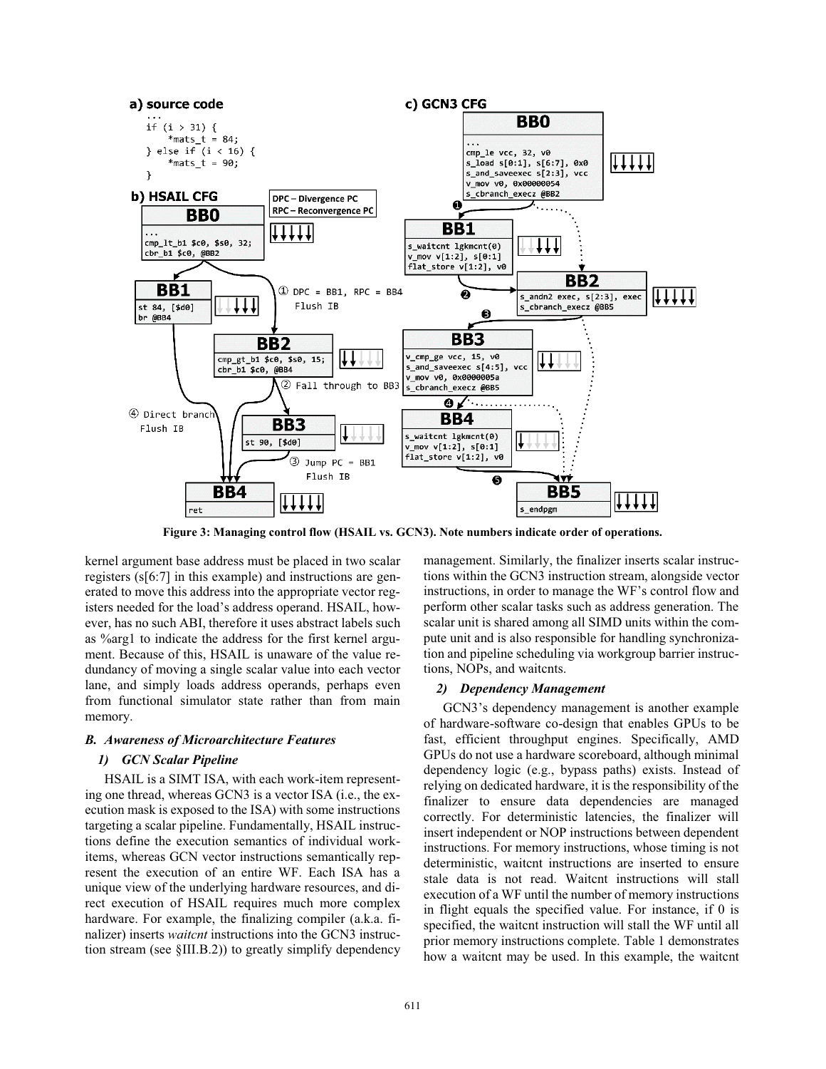

**Figure 3: Managing control flow (HSAIL vs. GCN3). Note numbers indicate order of operations.**

kernel argument base address must be placed in two scalar registers (s[6:7] in this example) and instructions are generated to move this address into the appropriate vector registers needed for the load's address operand. HSAIL, however, has no such ABI, therefore it uses abstract labels such as %arg1 to indicate the address for the first kernel argument. Because of this, HSAIL is unaware of the value redundancy of moving a single scalar value into each vector lane, and simply loads address operands, perhaps even from functional simulator state rather than from main memory.

#### *B. Awareness of Microarchitecture Features*

# *1) GCN Scalar Pipeline*

HSAIL is a SIMT ISA, with each work-item representing one thread, whereas GCN3 is a vector ISA (i.e., the execution mask is exposed to the ISA) with some instructions targeting a scalar pipeline. Fundamentally, HSAIL instructions define the execution semantics of individual workitems, whereas GCN vector instructions semantically represent the execution of an entire WF. Each ISA has a unique view of the underlying hardware resources, and direct execution of HSAIL requires much more complex hardware. For example, the finalizing compiler (a.k.a. finalizer) inserts *waitcnt* instructions into the GCN3 instruction stream (see §III.B.2)) to greatly simplify dependency management. Similarly, the finalizer inserts scalar instructions within the GCN3 instruction stream, alongside vector instructions, in order to manage the WF's control flow and perform other scalar tasks such as address generation. The scalar unit is shared among all SIMD units within the compute unit and is also responsible for handling synchronization and pipeline scheduling via workgroup barrier instructions, NOPs, and waitcnts.

#### *2) Dependency Management*

GCN3's dependency management is another example of hardware-software co-design that enables GPUs to be fast, efficient throughput engines. Specifically, AMD GPUs do not use a hardware scoreboard, although minimal dependency logic (e.g., bypass paths) exists. Instead of relying on dedicated hardware, it is the responsibility of the finalizer to ensure data dependencies are managed correctly. For deterministic latencies, the finalizer will insert independent or NOP instructions between dependent instructions. For memory instructions, whose timing is not deterministic, waitcnt instructions are inserted to ensure stale data is not read. Waitcnt instructions will stall execution of a WF until the number of memory instructions in flight equals the specified value. For instance, if 0 is specified, the waitcnt instruction will stall the WF until all prior memory instructions complete. Table 1 demonstrates how a waitcnt may be used. In this example, the waitcnt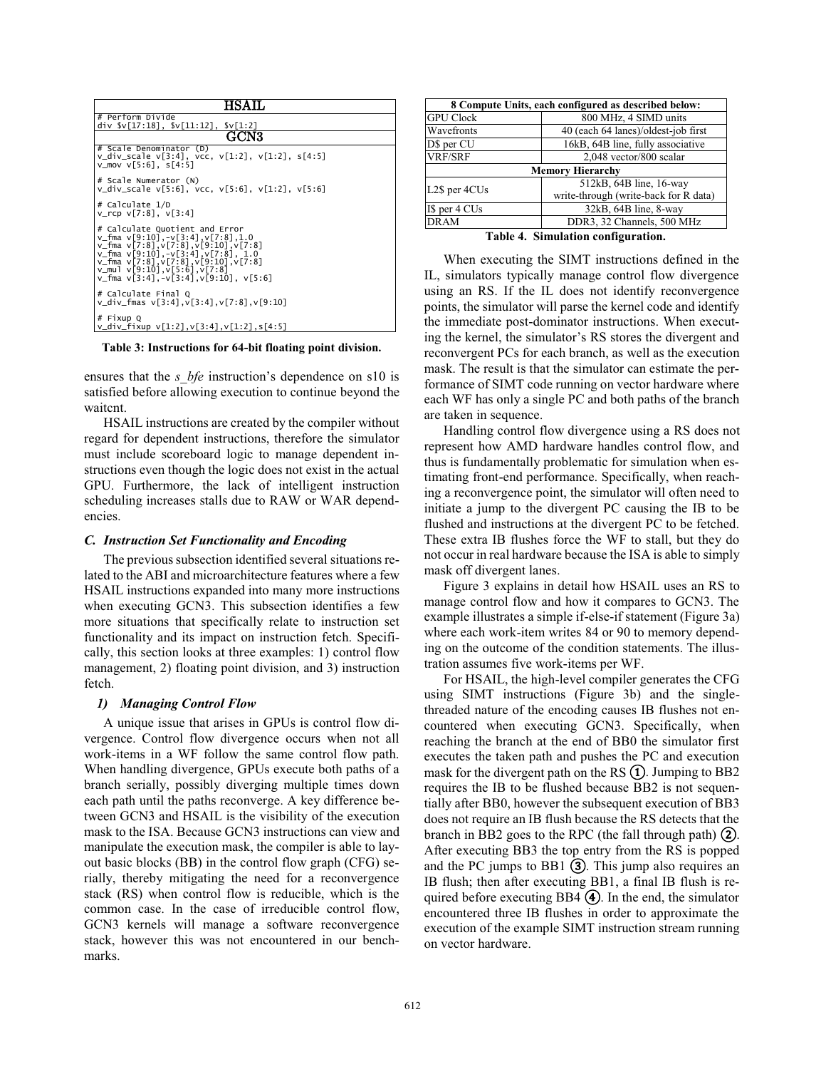| <b>HSAIL</b>                                                                                                                                                                                                                                                                                                                                                                                                                         |  |  |
|--------------------------------------------------------------------------------------------------------------------------------------------------------------------------------------------------------------------------------------------------------------------------------------------------------------------------------------------------------------------------------------------------------------------------------------|--|--|
| # Perform Divide<br>div $\sqrt{17:18}$ , $\sqrt{11:12}$ , $\sqrt{12:2}$                                                                                                                                                                                                                                                                                                                                                              |  |  |
| GCN3                                                                                                                                                                                                                                                                                                                                                                                                                                 |  |  |
| # Scale Denominator (D)<br>v_div_scale v[3:4], vcc, v[1:2], v[1:2], s[4:5]<br>v mov $v[5:6]$ . $s[4:5]$                                                                                                                                                                                                                                                                                                                              |  |  |
| # Scale Numerator (N)<br>v_div_scale v[5:6], vcc, v[5:6], v[1:2], v[5:6]                                                                                                                                                                                                                                                                                                                                                             |  |  |
| # Calculate 1/D<br>$v_{rcp}$ $v[7:8]$ , $v[3:4]$                                                                                                                                                                                                                                                                                                                                                                                     |  |  |
| # Calculate Quotient and Error<br>$v_{\text{max}}$ $v_{\text{max}}$ $v_{\text{max}}$ $v_{\text{max}}$ $v_{\text{max}}$ $v_{\text{max}}$ $v_{\text{max}}$ $v_{\text{max}}$ $v_{\text{max}}$<br>v_fma v[7:8], v[7:8], v[9:10], v[7:8]<br>$v_{\text{max}}$ $v[9:10]$ , $v[3:4]$ , $v[7:8]$ , $1.0$<br>v_fma v[7:8], v[7:8], v[9:10], v[7:8]<br>$v_{\text{mul}}$ $v[9:10]$ , $v[5:6]$ , $v[7:8]$<br>v fma v[3:4].-v[3:4].v[9:10]. v[5:6] |  |  |
| # Calculate Final O<br>v_div_fmas v[3:4],v[3:4],v[7:8],v[9:10]                                                                                                                                                                                                                                                                                                                                                                       |  |  |
| # Fixup Q<br>v_div_fixup v[1:2],v[3:4],v[1:2],s[4:5]                                                                                                                                                                                                                                                                                                                                                                                 |  |  |

**Table 3: Instructions for 64-bit floating point division.**

ensures that the *s\_bfe* instruction's dependence on s10 is satisfied before allowing execution to continue beyond the waitcnt.

HSAIL instructions are created by the compiler without regard for dependent instructions, therefore the simulator must include scoreboard logic to manage dependent instructions even though the logic does not exist in the actual GPU. Furthermore, the lack of intelligent instruction scheduling increases stalls due to RAW or WAR dependencies.

#### *C. Instruction Set Functionality and Encoding*

The previous subsection identified several situations related to the ABI and microarchitecture features where a few HSAIL instructions expanded into many more instructions when executing GCN3. This subsection identifies a few more situations that specifically relate to instruction set functionality and its impact on instruction fetch. Specifically, this section looks at three examples: 1) control flow management, 2) floating point division, and 3) instruction fetch.

#### *1) Managing Control Flow*

A unique issue that arises in GPUs is control flow divergence. Control flow divergence occurs when not all work-items in a WF follow the same control flow path. When handling divergence, GPUs execute both paths of a branch serially, possibly diverging multiple times down each path until the paths reconverge. A key difference between GCN3 and HSAIL is the visibility of the execution mask to the ISA. Because GCN3 instructions can view and manipulate the execution mask, the compiler is able to layout basic blocks (BB) in the control flow graph (CFG) serially, thereby mitigating the need for a reconvergence stack (RS) when control flow is reducible, which is the common case. In the case of irreducible control flow, GCN3 kernels will manage a software reconvergence stack, however this was not encountered in our benchmarks.

| 8 Compute Units, each configured as described below: |                                       |  |  |
|------------------------------------------------------|---------------------------------------|--|--|
| <b>GPU Clock</b>                                     | 800 MHz, 4 SIMD units                 |  |  |
| Wavefronts                                           | 40 (each 64 lanes)/oldest-job first   |  |  |
| D\$ per CU                                           | 16kB, 64B line, fully associative     |  |  |
| <b>VRF/SRF</b>                                       | 2,048 vector/800 scalar               |  |  |
| <b>Memory Hierarchy</b>                              |                                       |  |  |
| 512kB, 64B line, 16-way<br>L2\$ per 4CUs             |                                       |  |  |
|                                                      | write-through (write-back for R data) |  |  |
| I\$ per 4 CUs                                        | 32kB, 64B line, 8-way                 |  |  |
| DRAM                                                 | DDR3, 32 Channels, 500 MHz            |  |  |
| .<br>$\sim$                                          |                                       |  |  |

**Table 4. Simulation configuration.**

When executing the SIMT instructions defined in the IL, simulators typically manage control flow divergence using an RS. If the IL does not identify reconvergence points, the simulator will parse the kernel code and identify the immediate post-dominator instructions. When executing the kernel, the simulator's RS stores the divergent and reconvergent PCs for each branch, as well as the execution mask. The result is that the simulator can estimate the performance of SIMT code running on vector hardware where each WF has only a single PC and both paths of the branch are taken in sequence.

Handling control flow divergence using a RS does not represent how AMD hardware handles control flow, and thus is fundamentally problematic for simulation when estimating front-end performance. Specifically, when reaching a reconvergence point, the simulator will often need to initiate a jump to the divergent PC causing the IB to be flushed and instructions at the divergent PC to be fetched. These extra IB flushes force the WF to stall, but they do not occur in real hardware because the ISA is able to simply mask off divergent lanes.

Figure 3 explains in detail how HSAIL uses an RS to manage control flow and how it compares to GCN3. The example illustrates a simple if-else-if statement (Figure 3a) where each work-item writes 84 or 90 to memory depending on the outcome of the condition statements. The illustration assumes five work-items per WF.

For HSAIL, the high-level compiler generates the CFG using SIMT instructions (Figure 3b) and the singlethreaded nature of the encoding causes IB flushes not encountered when executing GCN3. Specifically, when reaching the branch at the end of BB0 the simulator first executes the taken path and pushes the PC and execution mask for the divergent path on the RS  $(1)$ . Jumping to BB2 requires the IB to be flushed because BB2 is not sequentially after BB0, however the subsequent execution of BB3 does not require an IB flush because the RS detects that the branch in BB2 goes to the RPC (the fall through path) ②. After executing BB3 the top entry from the RS is popped and the PC jumps to BB1 ③. This jump also requires an IB flush; then after executing BB1, a final IB flush is required before executing BB4 ④. In the end, the simulator encountered three IB flushes in order to approximate the execution of the example SIMT instruction stream running on vector hardware.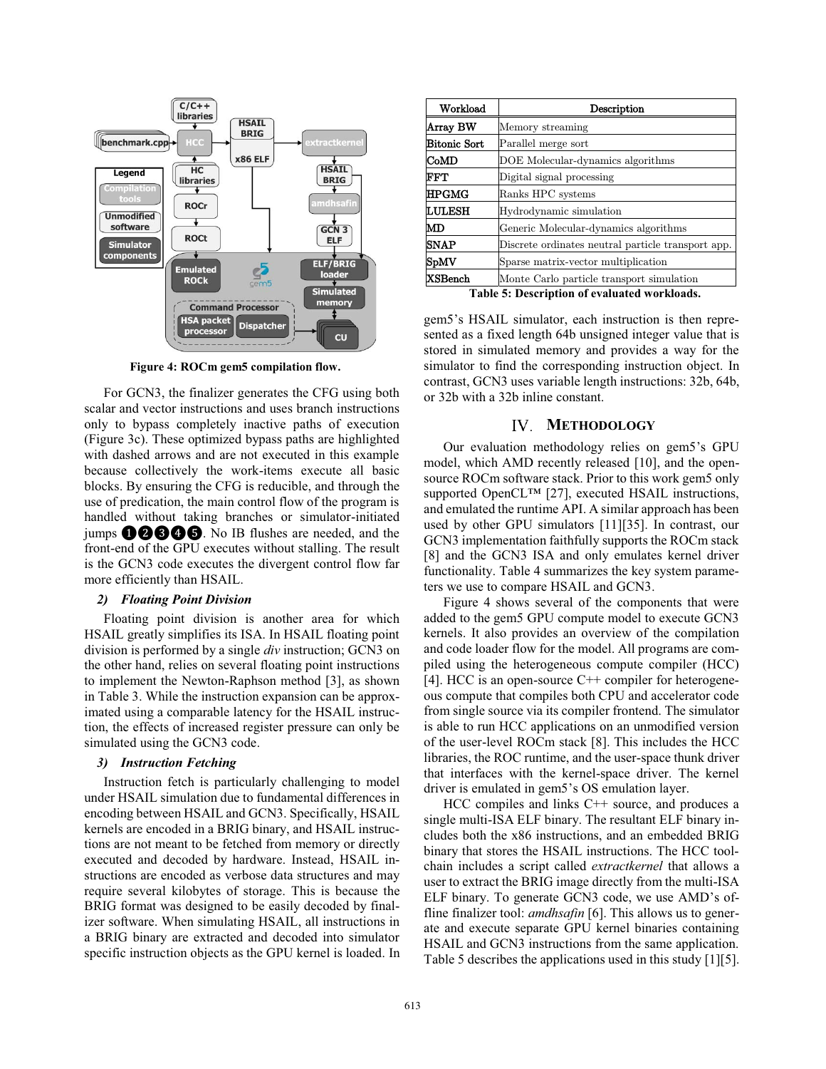

**Figure 4: ROCm gem5 compilation flow.**

For GCN3, the finalizer generates the CFG using both scalar and vector instructions and uses branch instructions only to bypass completely inactive paths of execution (Figure 3c). These optimized bypass paths are highlighted with dashed arrows and are not executed in this example because collectively the work-items execute all basic blocks. By ensuring the CFG is reducible, and through the use of predication, the main control flow of the program is handled without taking branches or simulator-initiated jumps ❶❷❸❹❺. No IB flushes are needed, and the front-end of the GPU executes without stalling. The result is the GCN3 code executes the divergent control flow far more efficiently than HSAIL.

# *2) Floating Point Division*

Floating point division is another area for which HSAIL greatly simplifies its ISA. In HSAIL floating point division is performed by a single *div* instruction; GCN3 on the other hand, relies on several floating point instructions to implement the Newton-Raphson method [3], as shown in Table 3. While the instruction expansion can be approximated using a comparable latency for the HSAIL instruction, the effects of increased register pressure can only be simulated using the GCN3 code.

### *3) Instruction Fetching*

Instruction fetch is particularly challenging to model under HSAIL simulation due to fundamental differences in encoding between HSAIL and GCN3. Specifically, HSAIL kernels are encoded in a BRIG binary, and HSAIL instructions are not meant to be fetched from memory or directly executed and decoded by hardware. Instead, HSAIL instructions are encoded as verbose data structures and may require several kilobytes of storage. This is because the BRIG format was designed to be easily decoded by finalizer software. When simulating HSAIL, all instructions in a BRIG binary are extracted and decoded into simulator specific instruction objects as the GPU kernel is loaded. In

| Workload            | Description                                        |
|---------------------|----------------------------------------------------|
| Array BW            | Memory streaming                                   |
| <b>Bitonic Sort</b> | Parallel merge sort                                |
| CoMD                | DOE Molecular-dynamics algorithms                  |
| $_{\rm FFT}$        | Digital signal processing                          |
| <b>HPGMG</b>        | Ranks HPC systems                                  |
| <b>LULESH</b>       | Hydrodynamic simulation                            |
| MD                  | Generic Molecular-dynamics algorithms              |
| <b>SNAP</b>         | Discrete ordinates neutral particle transport app. |
| SpMV                | Sparse matrix-vector multiplication                |
| ${\rm XSBench}$     | Monte Carlo particle transport simulation          |
|                     | Toble 5: Description of evaluated workloads        |

**Table 5: Description of evaluated workloads.**

gem5's HSAIL simulator, each instruction is then represented as a fixed length 64b unsigned integer value that is stored in simulated memory and provides a way for the simulator to find the corresponding instruction object. In contrast, GCN3 uses variable length instructions: 32b, 64b, or 32b with a 32b inline constant.

# **METHODOLOGY**

Our evaluation methodology relies on gem5's GPU model, which AMD recently released [10], and the opensource ROCm software stack. Prior to this work gem5 only supported OpenCL™ [27], executed HSAIL instructions, and emulated the runtime API. A similar approach has been used by other GPU simulators [11][35]. In contrast, our GCN3 implementation faithfully supports the ROCm stack [8] and the GCN3 ISA and only emulates kernel driver functionality. Table 4 summarizes the key system parameters we use to compare HSAIL and GCN3.

Figure 4 shows several of the components that were added to the gem5 GPU compute model to execute GCN3 kernels. It also provides an overview of the compilation and code loader flow for the model. All programs are compiled using the heterogeneous compute compiler (HCC) [4]. HCC is an open-source  $C++$  compiler for heterogeneous compute that compiles both CPU and accelerator code from single source via its compiler frontend. The simulator is able to run HCC applications on an unmodified version of the user-level ROCm stack [8]. This includes the HCC libraries, the ROC runtime, and the user-space thunk driver that interfaces with the kernel-space driver. The kernel driver is emulated in gem5's OS emulation layer.

HCC compiles and links C++ source, and produces a single multi-ISA ELF binary. The resultant ELF binary includes both the x86 instructions, and an embedded BRIG binary that stores the HSAIL instructions. The HCC toolchain includes a script called *extractkernel* that allows a user to extract the BRIG image directly from the multi-ISA ELF binary. To generate GCN3 code, we use AMD's offline finalizer tool: *amdhsafin* [6]. This allows us to generate and execute separate GPU kernel binaries containing HSAIL and GCN3 instructions from the same application. Table 5 describes the applications used in this study [1][5].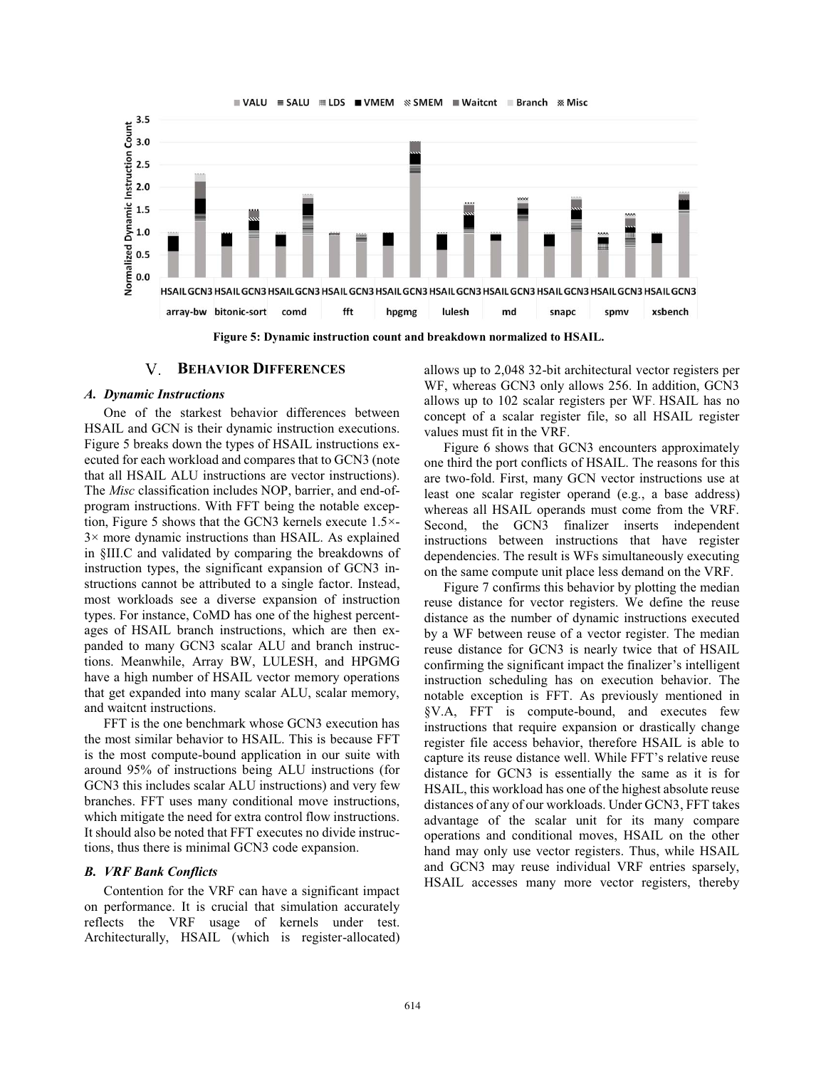

**Figure 5: Dynamic instruction count and breakdown normalized to HSAIL.**

#### V. **BEHAVIOR DIFFERENCES**

### *A. Dynamic Instructions*

One of the starkest behavior differences between HSAIL and GCN is their dynamic instruction executions. Figure 5 breaks down the types of HSAIL instructions executed for each workload and compares that to GCN3 (note that all HSAIL ALU instructions are vector instructions). The *Misc* classification includes NOP, barrier, and end-ofprogram instructions. With FFT being the notable exception, Figure 5 shows that the GCN3 kernels execute 1.5×- 3× more dynamic instructions than HSAIL. As explained in §III.C and validated by comparing the breakdowns of instruction types, the significant expansion of GCN3 instructions cannot be attributed to a single factor. Instead, most workloads see a diverse expansion of instruction types. For instance, CoMD has one of the highest percentages of HSAIL branch instructions, which are then expanded to many GCN3 scalar ALU and branch instructions. Meanwhile, Array BW, LULESH, and HPGMG have a high number of HSAIL vector memory operations that get expanded into many scalar ALU, scalar memory, and waitcnt instructions.

FFT is the one benchmark whose GCN3 execution has the most similar behavior to HSAIL. This is because FFT is the most compute-bound application in our suite with around 95% of instructions being ALU instructions (for GCN3 this includes scalar ALU instructions) and very few branches. FFT uses many conditional move instructions, which mitigate the need for extra control flow instructions. It should also be noted that FFT executes no divide instructions, thus there is minimal GCN3 code expansion.

# *B. VRF Bank Conflicts*

Contention for the VRF can have a significant impact on performance. It is crucial that simulation accurately reflects the VRF usage of kernels under test. Architecturally, HSAIL (which is register-allocated) allows up to 2,048 32-bit architectural vector registers per WF, whereas GCN3 only allows 256. In addition, GCN3 allows up to 102 scalar registers per WF. HSAIL has no concept of a scalar register file, so all HSAIL register values must fit in the VRF.

Figure 6 shows that GCN3 encounters approximately one third the port conflicts of HSAIL. The reasons for this are two-fold. First, many GCN vector instructions use at least one scalar register operand (e.g., a base address) whereas all HSAIL operands must come from the VRF. Second, the GCN3 finalizer inserts independent instructions between instructions that have register dependencies. The result is WFs simultaneously executing on the same compute unit place less demand on the VRF.

Figure 7 confirms this behavior by plotting the median reuse distance for vector registers. We define the reuse distance as the number of dynamic instructions executed by a WF between reuse of a vector register. The median reuse distance for GCN3 is nearly twice that of HSAIL confirming the significant impact the finalizer's intelligent instruction scheduling has on execution behavior. The notable exception is FFT. As previously mentioned in §V.A, FFT is compute-bound, and executes few instructions that require expansion or drastically change register file access behavior, therefore HSAIL is able to capture its reuse distance well. While FFT's relative reuse distance for GCN3 is essentially the same as it is for HSAIL, this workload has one of the highest absolute reuse distances of any of our workloads. Under GCN3, FFT takes advantage of the scalar unit for its many compare operations and conditional moves, HSAIL on the other hand may only use vector registers. Thus, while HSAIL and GCN3 may reuse individual VRF entries sparsely, HSAIL accesses many more vector registers, thereby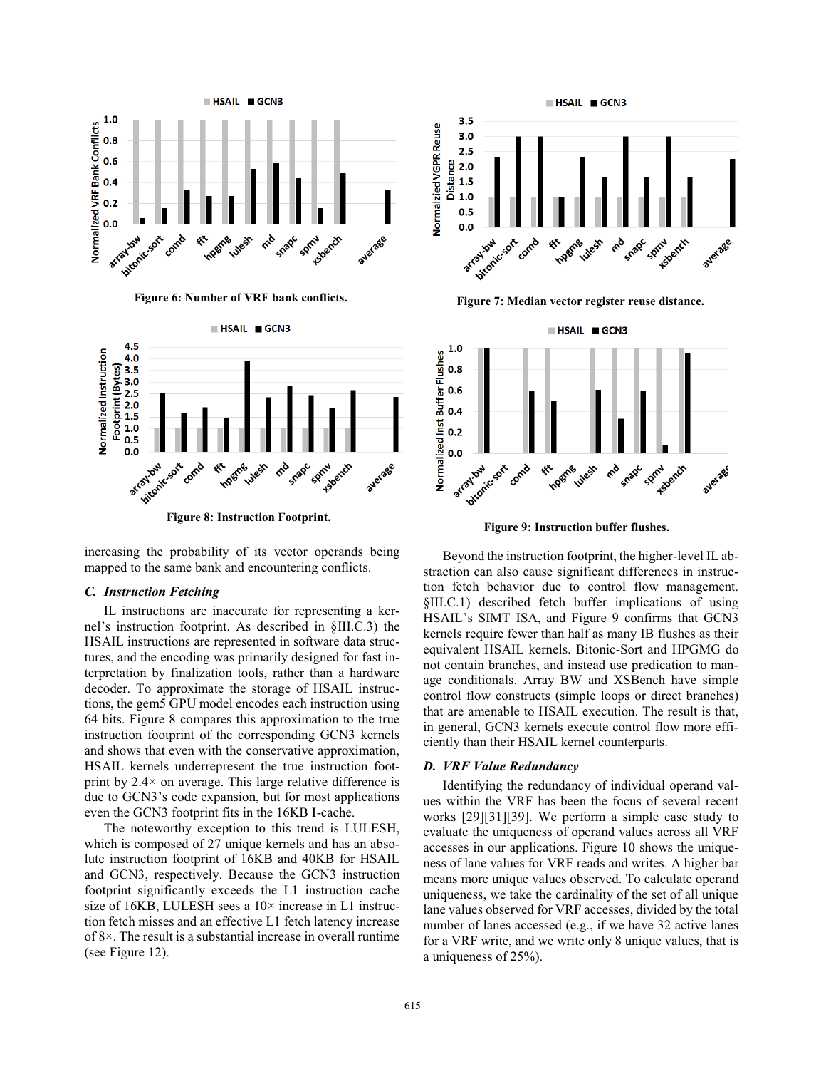



increasing the probability of its vector operands being mapped to the same bank and encountering conflicts.

# *C. Instruction Fetching*

IL instructions are inaccurate for representing a kernel's instruction footprint. As described in §III.C.3) the HSAIL instructions are represented in software data structures, and the encoding was primarily designed for fast interpretation by finalization tools, rather than a hardware decoder. To approximate the storage of HSAIL instructions, the gem5 GPU model encodes each instruction using 64 bits. Figure 8 compares this approximation to the true instruction footprint of the corresponding GCN3 kernels and shows that even with the conservative approximation, HSAIL kernels underrepresent the true instruction footprint by  $2.4 \times$  on average. This large relative difference is due to GCN3's code expansion, but for most applications even the GCN3 footprint fits in the 16KB I-cache.

The noteworthy exception to this trend is LULESH, which is composed of 27 unique kernels and has an absolute instruction footprint of 16KB and 40KB for HSAIL and GCN3, respectively. Because the GCN3 instruction footprint significantly exceeds the L1 instruction cache size of 16KB, LULESH sees a  $10\times$  increase in L1 instruction fetch misses and an effective L1 fetch latency increase of 8×. The result is a substantial increase in overall runtime (see Figure 12).



**Figure 6: Number of VRF bank conflicts. Figure 7: Median vector register reuse distance.**



Beyond the instruction footprint, the higher-level IL abstraction can also cause significant differences in instruction fetch behavior due to control flow management. §III.C.1) described fetch buffer implications of using HSAIL's SIMT ISA, and Figure 9 confirms that GCN3 kernels require fewer than half as many IB flushes as their equivalent HSAIL kernels. Bitonic-Sort and HPGMG do not contain branches, and instead use predication to manage conditionals. Array BW and XSBench have simple control flow constructs (simple loops or direct branches) that are amenable to HSAIL execution. The result is that, in general, GCN3 kernels execute control flow more efficiently than their HSAIL kernel counterparts.

#### *D. VRF Value Redundancy*

Identifying the redundancy of individual operand values within the VRF has been the focus of several recent works [29][31][39]. We perform a simple case study to evaluate the uniqueness of operand values across all VRF accesses in our applications. Figure 10 shows the uniqueness of lane values for VRF reads and writes. A higher bar means more unique values observed. To calculate operand uniqueness, we take the cardinality of the set of all unique lane values observed for VRF accesses, divided by the total number of lanes accessed (e.g., if we have 32 active lanes for a VRF write, and we write only 8 unique values, that is a uniqueness of 25%).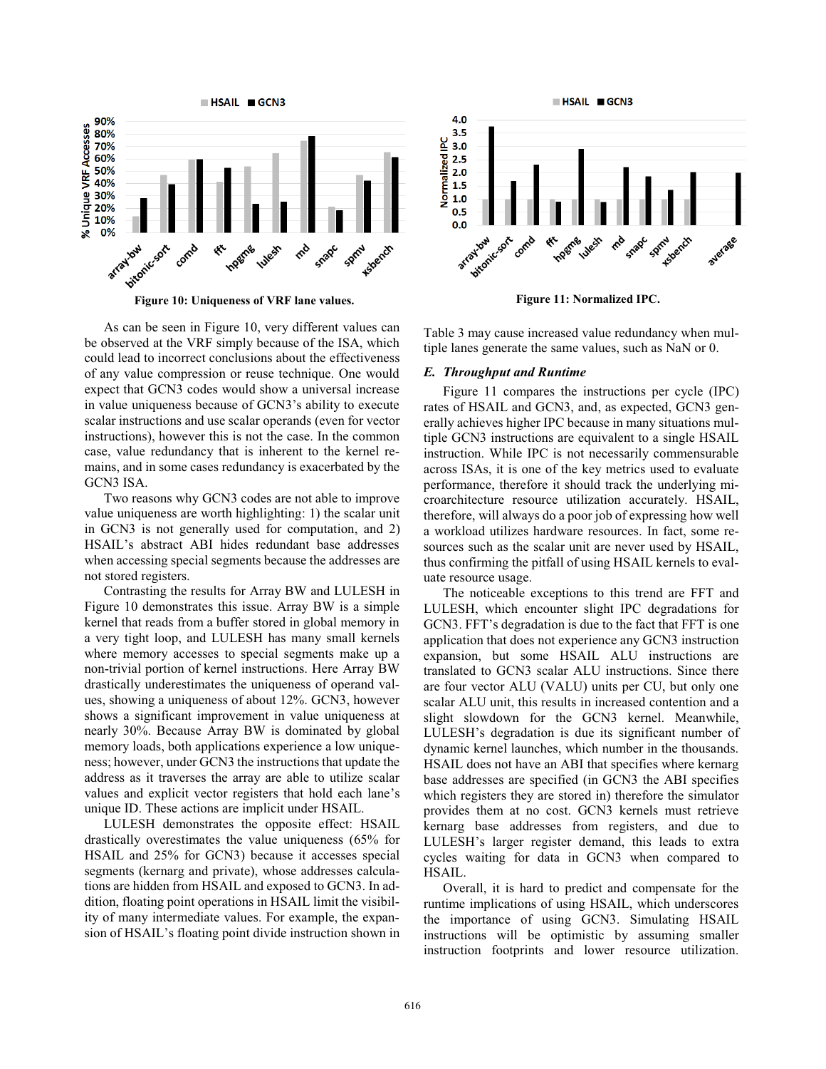



As can be seen in Figure 10, very different values can be observed at the VRF simply because of the ISA, which could lead to incorrect conclusions about the effectiveness of any value compression or reuse technique. One would expect that GCN3 codes would show a universal increase in value uniqueness because of GCN3's ability to execute scalar instructions and use scalar operands (even for vector instructions), however this is not the case. In the common case, value redundancy that is inherent to the kernel remains, and in some cases redundancy is exacerbated by the GCN3 ISA.

Two reasons why GCN3 codes are not able to improve value uniqueness are worth highlighting: 1) the scalar unit in GCN3 is not generally used for computation, and 2) HSAIL's abstract ABI hides redundant base addresses when accessing special segments because the addresses are not stored registers.

Contrasting the results for Array BW and LULESH in Figure 10 demonstrates this issue. Array BW is a simple kernel that reads from a buffer stored in global memory in a very tight loop, and LULESH has many small kernels where memory accesses to special segments make up a non-trivial portion of kernel instructions. Here Array BW drastically underestimates the uniqueness of operand values, showing a uniqueness of about 12%. GCN3, however shows a significant improvement in value uniqueness at nearly 30%. Because Array BW is dominated by global memory loads, both applications experience a low uniqueness; however, under GCN3 the instructions that update the address as it traverses the array are able to utilize scalar values and explicit vector registers that hold each lane's unique ID. These actions are implicit under HSAIL.

LULESH demonstrates the opposite effect: HSAIL drastically overestimates the value uniqueness (65% for HSAIL and 25% for GCN3) because it accesses special segments (kernarg and private), whose addresses calculations are hidden from HSAIL and exposed to GCN3. In addition, floating point operations in HSAIL limit the visibility of many intermediate values. For example, the expansion of HSAIL's floating point divide instruction shown in



Table 3 may cause increased value redundancy when multiple lanes generate the same values, such as NaN or 0.

#### *E. Throughput and Runtime*

Figure 11 compares the instructions per cycle (IPC) rates of HSAIL and GCN3, and, as expected, GCN3 generally achieves higher IPC because in many situations multiple GCN3 instructions are equivalent to a single HSAIL instruction. While IPC is not necessarily commensurable across ISAs, it is one of the key metrics used to evaluate performance, therefore it should track the underlying microarchitecture resource utilization accurately. HSAIL, therefore, will always do a poor job of expressing how well a workload utilizes hardware resources. In fact, some resources such as the scalar unit are never used by HSAIL, thus confirming the pitfall of using HSAIL kernels to evaluate resource usage.

The noticeable exceptions to this trend are FFT and LULESH, which encounter slight IPC degradations for GCN3. FFT's degradation is due to the fact that FFT is one application that does not experience any GCN3 instruction expansion, but some HSAIL ALU instructions are translated to GCN3 scalar ALU instructions. Since there are four vector ALU (VALU) units per CU, but only one scalar ALU unit, this results in increased contention and a slight slowdown for the GCN3 kernel. Meanwhile, LULESH's degradation is due its significant number of dynamic kernel launches, which number in the thousands. HSAIL does not have an ABI that specifies where kernarg base addresses are specified (in GCN3 the ABI specifies which registers they are stored in) therefore the simulator provides them at no cost. GCN3 kernels must retrieve kernarg base addresses from registers, and due to LULESH's larger register demand, this leads to extra cycles waiting for data in GCN3 when compared to HSAIL.

Overall, it is hard to predict and compensate for the runtime implications of using HSAIL, which underscores the importance of using GCN3. Simulating HSAIL instructions will be optimistic by assuming smaller instruction footprints and lower resource utilization.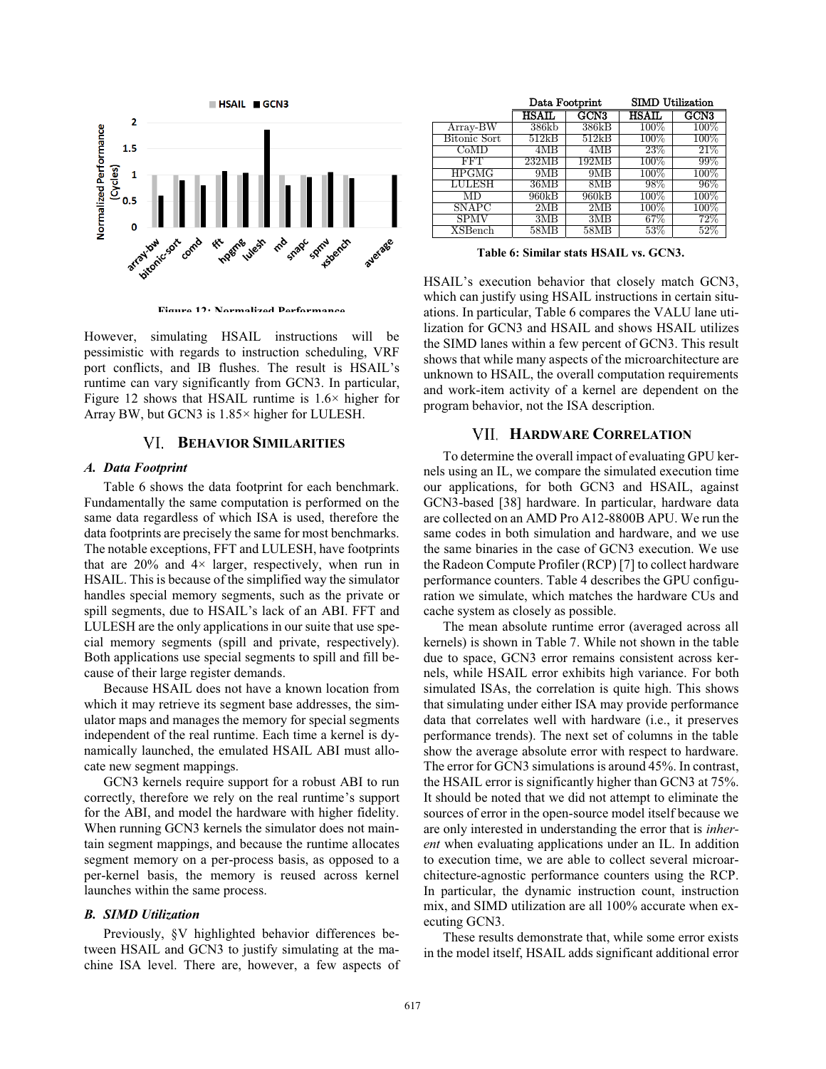

**Figure 12: Normalized Performance.**

However, simulating HSAIL instructions will be pessimistic with regards to instruction scheduling, VRF port conflicts, and IB flushes. The result is HSAIL's runtime can vary significantly from GCN3. In particular, Figure 12 shows that HSAIL runtime is  $1.6\times$  higher for Array BW, but GCN3 is 1.85× higher for LULESH.

#### **BEHAVIOR SIMILARITIES**

### *A. Data Footprint*

Table 6 shows the data footprint for each benchmark. Fundamentally the same computation is performed on the same data regardless of which ISA is used, therefore the data footprints are precisely the same for most benchmarks. The notable exceptions, FFT and LULESH, have footprints that are  $20\%$  and  $4\times$  larger, respectively, when run in HSAIL. This is because of the simplified way the simulator handles special memory segments, such as the private or spill segments, due to HSAIL's lack of an ABI. FFT and LULESH are the only applications in our suite that use special memory segments (spill and private, respectively). Both applications use special segments to spill and fill because of their large register demands.

Because HSAIL does not have a known location from which it may retrieve its segment base addresses, the simulator maps and manages the memory for special segments independent of the real runtime. Each time a kernel is dynamically launched, the emulated HSAIL ABI must allocate new segment mappings.

GCN3 kernels require support for a robust ABI to run correctly, therefore we rely on the real runtime's support for the ABI, and model the hardware with higher fidelity. When running GCN3 kernels the simulator does not maintain segment mappings, and because the runtime allocates segment memory on a per-process basis, as opposed to a per-kernel basis, the memory is reused across kernel launches within the same process.

#### *B. SIMD Utilization*

Previously, §V highlighted behavior differences between HSAIL and GCN3 to justify simulating at the machine ISA level. There are, however, a few aspects of

|                       | Data Footprint |       | <b>SIMD</b> Utilization |                  |
|-----------------------|----------------|-------|-------------------------|------------------|
|                       | <b>IISAIL</b>  | GCN3  | <b>IISAIL</b>           | GCN <sub>3</sub> |
| $Array-BW$            | 386kb          | 386kB | $100\%$                 | $100\%$          |
| Bitonic Sort          | 512kB          | 512kB | $100\%$                 | $100\%$          |
| CoMD                  | 4MB            | 4MB   | 23\%                    | 21%              |
| FFT                   | 232MB          | 192MB | $100\%$                 | 99%              |
| HPGMG                 | 9MB            | 9MB   | $100\%$                 | $100\%$          |
| LULESH                | 36MB           | 8MB   | 98%                     | 96%              |
| MD                    | 960kB          | 960kB | $100\%$                 | $100\%$          |
| SNAPC                 | 2MB            | 2MB   | $100\%$                 | $100\%$          |
| SPMV                  | 3MB            | 3MB   | 67%                     | $72\%$           |
| $_{\mathrm{XSBench}}$ | 58MB           | 58MB  | $53\%$                  | 52%              |

**Table 6: Similar stats HSAIL vs. GCN3.**

HSAIL's execution behavior that closely match GCN3, which can justify using HSAIL instructions in certain situations. In particular, Table 6 compares the VALU lane utilization for GCN3 and HSAIL and shows HSAIL utilizes the SIMD lanes within a few percent of GCN3. This result shows that while many aspects of the microarchitecture are unknown to HSAIL, the overall computation requirements and work-item activity of a kernel are dependent on the program behavior, not the ISA description.

### **HARDWARE CORRELATION**

To determine the overall impact of evaluating GPU kernels using an IL, we compare the simulated execution time our applications, for both GCN3 and HSAIL, against GCN3-based [38] hardware. In particular, hardware data are collected on an AMD Pro A12-8800B APU. We run the same codes in both simulation and hardware, and we use the same binaries in the case of GCN3 execution. We use the Radeon Compute Profiler (RCP) [7] to collect hardware performance counters. Table 4 describes the GPU configuration we simulate, which matches the hardware CUs and cache system as closely as possible.

The mean absolute runtime error (averaged across all kernels) is shown in Table 7. While not shown in the table due to space, GCN3 error remains consistent across kernels, while HSAIL error exhibits high variance. For both simulated ISAs, the correlation is quite high. This shows that simulating under either ISA may provide performance data that correlates well with hardware (i.e., it preserves performance trends). The next set of columns in the table show the average absolute error with respect to hardware. The error for GCN3 simulations is around 45%. In contrast, the HSAIL error is significantly higher than GCN3 at 75%. It should be noted that we did not attempt to eliminate the sources of error in the open-source model itself because we are only interested in understanding the error that is *inherent* when evaluating applications under an IL. In addition to execution time, we are able to collect several microarchitecture-agnostic performance counters using the RCP. In particular, the dynamic instruction count, instruction mix, and SIMD utilization are all 100% accurate when executing GCN3.

These results demonstrate that, while some error exists in the model itself, HSAIL adds significant additional error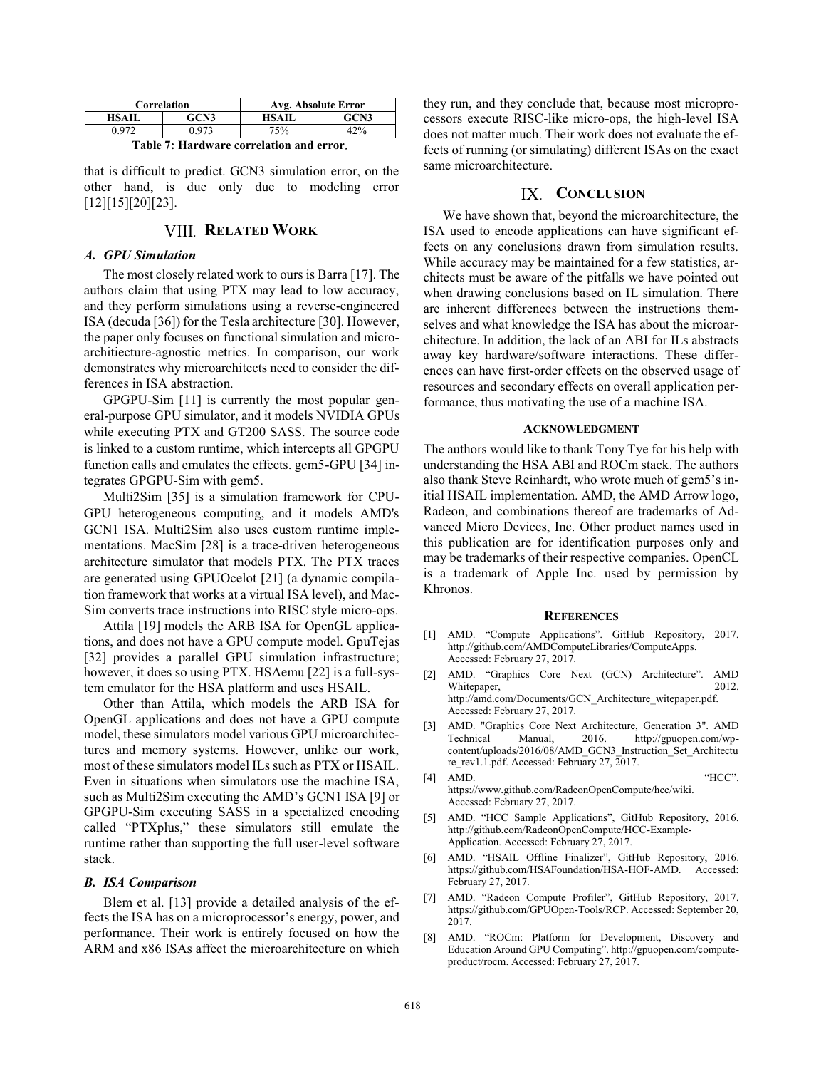| Correlation  |       | Avg. Absolute Error |      |  |
|--------------|-------|---------------------|------|--|
| <b>HSAII</b> | GCN3  | HSAIL.              | GCN3 |  |
| ነ ዓ71        | ገ 973 | 75%                 | ∕ ∩∩ |  |

**Table 7: Hardware correlation and error**.

that is difficult to predict. GCN3 simulation error, on the other hand, is due only due to modeling error [12][15][20][23].

# **VIII. RELATED WORK**

#### *A. GPU Simulation*

The most closely related work to ours is Barra [17]. The authors claim that using PTX may lead to low accuracy, and they perform simulations using a reverse-engineered ISA (decuda [36]) for the Tesla architecture [30]. However, the paper only focuses on functional simulation and microarchitiecture-agnostic metrics. In comparison, our work demonstrates why microarchitects need to consider the differences in ISA abstraction.

GPGPU-Sim [11] is currently the most popular general-purpose GPU simulator, and it models NVIDIA GPUs while executing PTX and GT200 SASS. The source code is linked to a custom runtime, which intercepts all GPGPU function calls and emulates the effects. gem5-GPU [34] integrates GPGPU-Sim with gem5.

Multi2Sim [35] is a simulation framework for CPU-GPU heterogeneous computing, and it models AMD's GCN1 ISA. Multi2Sim also uses custom runtime implementations. MacSim [28] is a trace-driven heterogeneous architecture simulator that models PTX. The PTX traces are generated using GPUOcelot [21] (a dynamic compilation framework that works at a virtual ISA level), and Mac-Sim converts trace instructions into RISC style micro-ops.

Attila [19] models the ARB ISA for OpenGL applications, and does not have a GPU compute model. GpuTejas [32] provides a parallel GPU simulation infrastructure; however, it does so using PTX. HSAemu [22] is a full-system emulator for the HSA platform and uses HSAIL.

Other than Attila, which models the ARB ISA for OpenGL applications and does not have a GPU compute model, these simulators model various GPU microarchitectures and memory systems. However, unlike our work, most of these simulators model ILs such as PTX or HSAIL. Even in situations when simulators use the machine ISA, such as Multi2Sim executing the AMD's GCN1 ISA [9] or GPGPU-Sim executing SASS in a specialized encoding called "PTXplus," these simulators still emulate the runtime rather than supporting the full user-level software stack.

#### *B. ISA Comparison*

Blem et al. [13] provide a detailed analysis of the effects the ISA has on a microprocessor's energy, power, and performance. Their work is entirely focused on how the ARM and x86 ISAs affect the microarchitecture on which

they run, and they conclude that, because most microprocessors execute RISC-like micro-ops, the high-level ISA does not matter much. Their work does not evaluate the effects of running (or simulating) different ISAs on the exact same microarchitecture.

# IX. CONCLUSION

We have shown that, beyond the microarchitecture, the ISA used to encode applications can have significant effects on any conclusions drawn from simulation results. While accuracy may be maintained for a few statistics, architects must be aware of the pitfalls we have pointed out when drawing conclusions based on IL simulation. There are inherent differences between the instructions themselves and what knowledge the ISA has about the microarchitecture. In addition, the lack of an ABI for ILs abstracts away key hardware/software interactions. These differences can have first-order effects on the observed usage of resources and secondary effects on overall application performance, thus motivating the use of a machine ISA.

#### **ACKNOWLEDGMENT**

The authors would like to thank Tony Tye for his help with understanding the HSA ABI and ROCm stack. The authors also thank Steve Reinhardt, who wrote much of gem5's initial HSAIL implementation. AMD, the AMD Arrow logo, Radeon, and combinations thereof are trademarks of Advanced Micro Devices, Inc. Other product names used in this publication are for identification purposes only and may be trademarks of their respective companies. OpenCL is a trademark of Apple Inc. used by permission by Khronos.

#### **REFERENCES**

- [1] AMD. "Compute Applications". GitHub Repository, 2017. http://github.com/AMDComputeLibraries/ComputeApps. Accessed: February 27, 2017.
- [2] AMD. "Graphics Core Next (GCN) Architecture". AMD Whitepaper, http://amd.com/Documents/GCN\_Architecture\_witepaper.pdf. Accessed: February 27, 2017.
- [3] AMD. "Graphics Core Next Architecture, Generation 3". AMD Technical Manual, 2016. http://gpuopen.com/wpcontent/uploads/2016/08/AMD\_GCN3\_Instruction\_Set\_Architectu re\_rev1.1.pdf. Accessed: February 27, 2017.
- [4] AMD. "HCC". https://www.github.com/RadeonOpenCompute/hcc/wiki. Accessed: February 27, 2017.
- [5] AMD. "HCC Sample Applications", GitHub Repository, 2016. http://github.com/RadeonOpenCompute/HCC-Example-Application. Accessed: February 27, 2017.
- [6] AMD. "HSAIL Offline Finalizer", GitHub Repository, 2016. https://github.com/HSAFoundation/HSA-HOF-AMD. Accessed: February 27, 2017.
- [7] AMD. "Radeon Compute Profiler", GitHub Repository, 2017. https://github.com/GPUOpen-Tools/RCP. Accessed: September 20, 2017.
- [8] AMD. "ROCm: Platform for Development, Discovery and Education Around GPU Computing". http://gpuopen.com/computeproduct/rocm. Accessed: February 27, 2017.